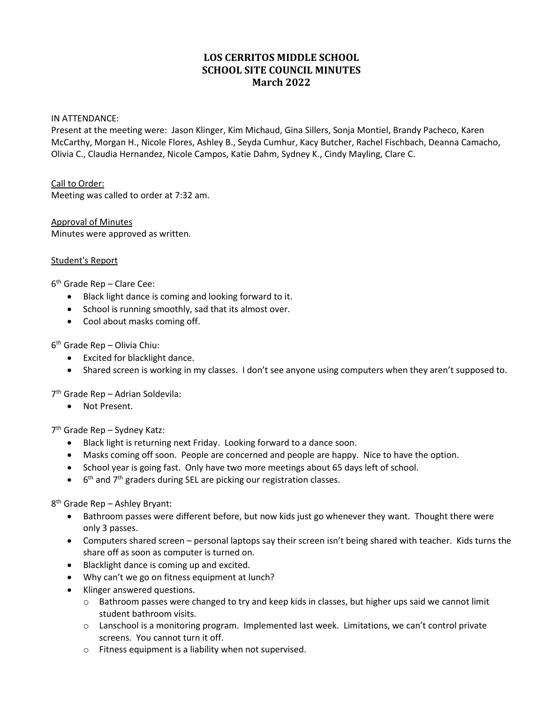# **LOS CERRITOS MIDDLE SCHOOL SCHOOL SITE COUNCIL MINUTES March 2022**

#### IN ATTENDANCE:

Present at the meeting were: Jason Klinger, Kim Michaud, Gina Sillers, Sonja Montiel, Brandy Pacheco, Karen McCarthy, Morgan H., Nicole Flores, Ashley B., Seyda Cumhur, Kacy Butcher, Rachel Fischbach, Deanna Camacho, Olivia C., Claudia Hernandez, Nicole Campos, Katie Dahm, Sydney K., Cindy Mayling, Clare C.

Call to Order: Meeting was called to order at 7:32 am.

Approval of Minutes Minutes were approved as written.

#### Student's Report

 $6<sup>th</sup>$  Grade Rep – Clare Cee:

- Black light dance is coming and looking forward to it.
- School is running smoothly, sad that its almost over.
- Cool about masks coming off.

6th Grade Rep – Olivia Chiu:

- Excited for blacklight dance.
- Shared screen is working in my classes. I don't see anyone using computers when they aren't supposed to.

7th Grade Rep – Adrian Soldevila:

• Not Present.

7th Grade Rep – Sydney Katz:

- Black light is returning next Friday. Looking forward to a dance soon.
- Masks coming off soon. People are concerned and people are happy. Nice to have the option.
- School year is going fast. Only have two more meetings about 65 days left of school.
- $\bullet$  6<sup>th</sup> and 7<sup>th</sup> graders during SEL are picking our registration classes.

8th Grade Rep – Ashley Bryant:

- Bathroom passes were different before, but now kids just go whenever they want. Thought there were only 3 passes.
- Computers shared screen personal laptops say their screen isn't being shared with teacher. Kids turns the share off as soon as computer is turned on.
- Blacklight dance is coming up and excited.
- Why can't we go on fitness equipment at lunch?
- Klinger answered questions.
	- $\circ$  Bathroom passes were changed to try and keep kids in classes, but higher ups said we cannot limit student bathroom visits.
	- o Lanschool is a monitoring program. Implemented last week. Limitations, we can't control private screens. You cannot turn it off.
	- o Fitness equipment is a liability when not supervised.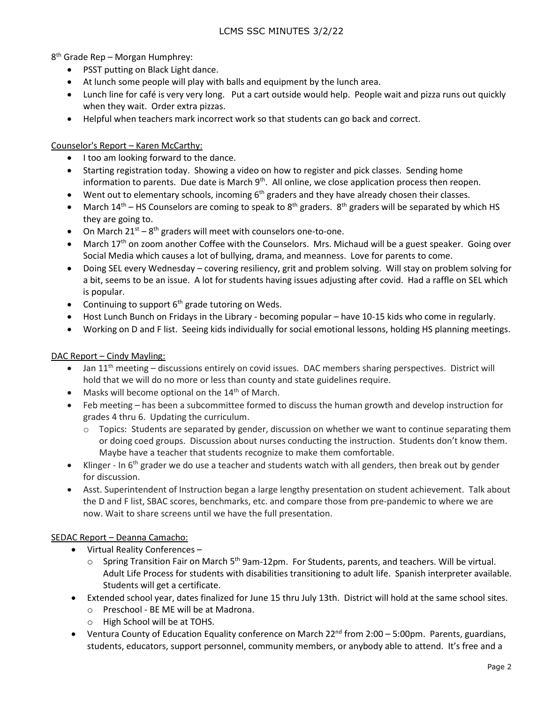8th Grade Rep – Morgan Humphrey:

- PSST putting on Black Light dance.
- At lunch some people will play with balls and equipment by the lunch area.
- Lunch line for café is very very long. Put a cart outside would help. People wait and pizza runs out quickly when they wait. Order extra pizzas.
- Helpful when teachers mark incorrect work so that students can go back and correct.

Counselor's Report – Karen McCarthy:

- I too am looking forward to the dance.
- Starting registration today. Showing a video on how to register and pick classes. Sending home information to parents. Due date is March  $9<sup>th</sup>$ . All online, we close application process then reopen.
- Went out to elementary schools, incoming  $6<sup>th</sup>$  graders and they have already chosen their classes.
- March  $14<sup>th</sup>$  HS Counselors are coming to speak to  $8<sup>th</sup>$  graders.  $8<sup>th</sup>$  graders will be separated by which HS they are going to.
- On March  $21^{st} 8^{th}$  graders will meet with counselors one-to-one.
- March 17<sup>th</sup> on zoom another Coffee with the Counselors. Mrs. Michaud will be a guest speaker. Going over Social Media which causes a lot of bullying, drama, and meanness. Love for parents to come.
- Doing SEL every Wednesday covering resiliency, grit and problem solving. Will stay on problem solving for a bit, seems to be an issue. A lot for students having issues adjusting after covid. Had a raffle on SEL which is popular.
- Continuing to support  $6<sup>th</sup>$  grade tutoring on Weds.
- Host Lunch Bunch on Fridays in the Library becoming popular have 10-15 kids who come in regularly.
- Working on D and F list. Seeing kids individually for social emotional lessons, holding HS planning meetings.

## DAC Report – Cindy Mayling:

- Jan  $11<sup>th</sup>$  meeting discussions entirely on covid issues. DAC members sharing perspectives. District will hold that we will do no more or less than county and state guidelines require.
- Masks will become optional on the  $14<sup>th</sup>$  of March.
- Feb meeting has been a subcommittee formed to discuss the human growth and develop instruction for grades 4 thru 6. Updating the curriculum.
	- $\circ$  Topics: Students are separated by gender, discussion on whether we want to continue separating them or doing coed groups. Discussion about nurses conducting the instruction. Students don't know them. Maybe have a teacher that students recognize to make them comfortable.
- $\bullet$  Klinger In 6<sup>th</sup> grader we do use a teacher and students watch with all genders, then break out by gender for discussion.
- Asst. Superintendent of Instruction began a large lengthy presentation on student achievement. Talk about the D and F list, SBAC scores, benchmarks, etc. and compare those from pre-pandemic to where we are now. Wait to share screens until we have the full presentation.

## SEDAC Report – Deanna Camacho:

- Virtual Reality Conferences
	- o Spring Transition Fair on March 5<sup>th</sup> 9am-12pm. For Students, parents, and teachers. Will be virtual. Adult Life Process for students with disabilities transitioning to adult life. Spanish interpreter available. Students will get a certificate.
- Extended school year, dates finalized for June 15 thru July 13th. District will hold at the same school sites.
	- o Preschool BE ME will be at Madrona.
	- o High School will be at TOHS.
- Ventura County of Education Equality conference on March 22<sup>nd</sup> from 2:00 5:00pm. Parents, guardians, students, educators, support personnel, community members, or anybody able to attend. It's free and a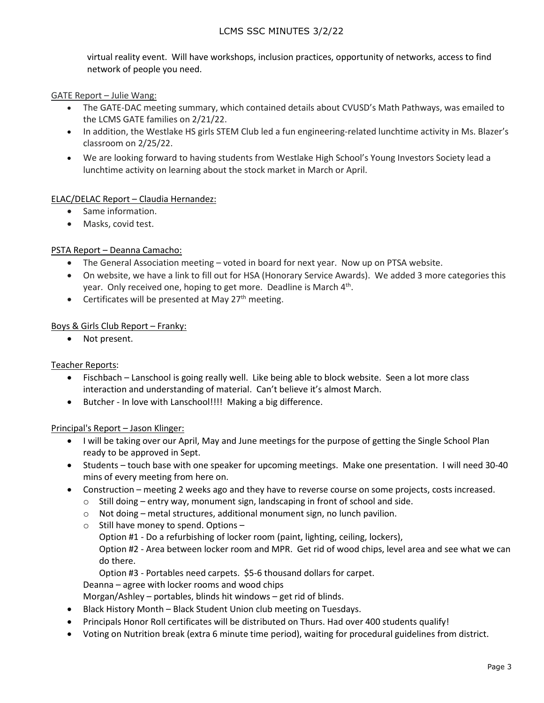virtual reality event. Will have workshops, inclusion practices, opportunity of networks, access to find network of people you need.

## GATE Report – Julie Wang:

- The GATE-DAC meeting summary, which contained details about CVUSD's Math Pathways, was emailed to the LCMS GATE families on 2/21/22.
- In addition, the Westlake HS girls STEM Club led a fun engineering-related lunchtime activity in Ms. Blazer's classroom on 2/25/22.
- We are looking forward to having students from Westlake High School's Young Investors Society lead a lunchtime activity on learning about the stock market in March or April.

## ELAC/DELAC Report – Claudia Hernandez:

- Same information.
- Masks, covid test.

## PSTA Report – Deanna Camacho:

- The General Association meeting voted in board for next year. Now up on PTSA website.
- On website, we have a link to fill out for HSA (Honorary Service Awards). We added 3 more categories this year. Only received one, hoping to get more. Deadline is March 4<sup>th</sup>.
- Certificates will be presented at May  $27<sup>th</sup>$  meeting.

## Boys & Girls Club Report – Franky:

• Not present.

Teacher Reports:

- Fischbach Lanschool is going really well. Like being able to block website. Seen a lot more class interaction and understanding of material. Can't believe it's almost March.
- Butcher In love with Lanschool!!!! Making a big difference.

## Principal's Report – Jason Klinger:

- I will be taking over our April, May and June meetings for the purpose of getting the Single School Plan ready to be approved in Sept.
- Students touch base with one speaker for upcoming meetings. Make one presentation. I will need 30-40 mins of every meeting from here on.
- Construction meeting 2 weeks ago and they have to reverse course on some projects, costs increased.
	- $\circ$  Still doing entry way, monument sign, landscaping in front of school and side.
	- $\circ$  Not doing metal structures, additional monument sign, no lunch pavilion.
	- $\circ$  Still have money to spend. Options -
		- Option #1 Do a refurbishing of locker room (paint, lighting, ceiling, lockers),
			- Option #2 Area between locker room and MPR. Get rid of wood chips, level area and see what we can do there.

Option #3 - Portables need carpets. \$5-6 thousand dollars for carpet.

Deanna – agree with locker rooms and wood chips

Morgan/Ashley – portables, blinds hit windows – get rid of blinds.

- Black History Month Black Student Union club meeting on Tuesdays.
- Principals Honor Roll certificates will be distributed on Thurs. Had over 400 students qualify!
- Voting on Nutrition break (extra 6 minute time period), waiting for procedural guidelines from district.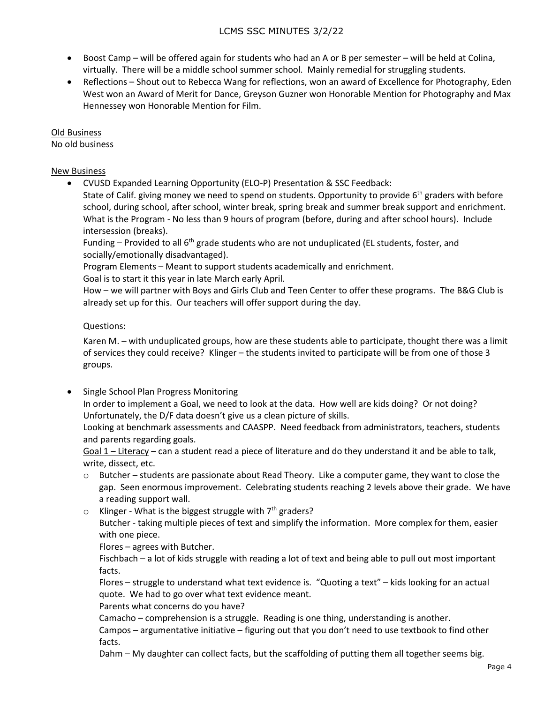- Boost Camp will be offered again for students who had an A or B per semester will be held at Colina, virtually. There will be a middle school summer school. Mainly remedial for struggling students.
- Reflections Shout out to Rebecca Wang for reflections, won an award of Excellence for Photography, Eden West won an Award of Merit for Dance, Greyson Guzner won Honorable Mention for Photography and Max Hennessey won Honorable Mention for Film.

# Old Business

No old business

# New Business

• CVUSD Expanded Learning Opportunity (ELO-P) Presentation & SSC Feedback:

State of Calif. giving money we need to spend on students. Opportunity to provide 6<sup>th</sup> graders with before school, during school, after school, winter break, spring break and summer break support and enrichment. What is the Program - No less than 9 hours of program (before, during and after school hours). Include intersession (breaks).

Funding – Provided to all  $6<sup>th</sup>$  grade students who are not unduplicated (EL students, foster, and socially/emotionally disadvantaged).

Program Elements – Meant to support students academically and enrichment.

Goal is to start it this year in late March early April.

How – we will partner with Boys and Girls Club and Teen Center to offer these programs. The B&G Club is already set up for this. Our teachers will offer support during the day.

# Questions:

Karen M. – with unduplicated groups, how are these students able to participate, thought there was a limit of services they could receive? Klinger – the students invited to participate will be from one of those 3 groups.

• Single School Plan Progress Monitoring

In order to implement a Goal, we need to look at the data. How well are kids doing? Or not doing? Unfortunately, the D/F data doesn't give us a clean picture of skills.

Looking at benchmark assessments and CAASPP. Need feedback from administrators, teachers, students and parents regarding goals.

Goal 1 – Literacy – can a student read a piece of literature and do they understand it and be able to talk, write, dissect, etc.

- o Butcher students are passionate about Read Theory. Like a computer game, they want to close the gap. Seen enormous improvement. Celebrating students reaching 2 levels above their grade. We have a reading support wall.
- $\circ$  Klinger What is the biggest struggle with  $7<sup>th</sup>$  graders? Butcher - taking multiple pieces of text and simplify the information. More complex for them, easier with one piece.

Flores – agrees with Butcher.

Fischbach – a lot of kids struggle with reading a lot of text and being able to pull out most important facts.

Flores – struggle to understand what text evidence is. "Quoting a text" – kids looking for an actual quote. We had to go over what text evidence meant.

Parents what concerns do you have?

Camacho – comprehension is a struggle. Reading is one thing, understanding is another.

Campos – argumentative initiative – figuring out that you don't need to use textbook to find other facts.

Dahm – My daughter can collect facts, but the scaffolding of putting them all together seems big.